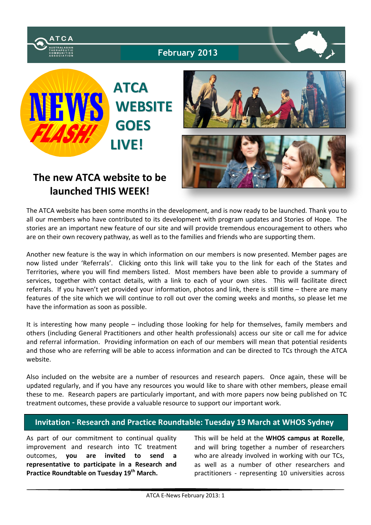

**February 2013**



**The new ATCA website to be launched THIS WEEK!**



The ATCA website has been some months in the development, and is now ready to be launched. Thank you to all our members who have contributed to its development with program updates and Stories of Hope. The stories are an important new feature of our site and will provide tremendous encouragement to others who are on their own recovery pathway, as well as to the families and friends who are supporting them.

Another new feature is the way in which information on our members is now presented. Member pages are now listed under 'Referrals'. Clicking onto this link will take you to the link for each of the States and Territories, where you will find members listed. Most members have been able to provide a summary of services, together with contact details, with a link to each of your own sites. This will facilitate direct referrals. If you haven't yet provided your information, photos and link, there is still time – there are many features of the site which we will continue to roll out over the coming weeks and months, so please let me have the information as soon as possible.

It is interesting how many people – including those looking for help for themselves, family members and others (including General Practitioners and other health professionals) access our site or call me for advice and referral information. Providing information on each of our members will mean that potential residents and those who are referring will be able to access information and can be directed to TCs through the ATCA website.

Also included on the website are a number of resources and research papers. Once again, these will be updated regularly, and if you have any resources you would like to share with other members, please email these to me. Research papers are particularly important, and with more papers now being published on TC treatment outcomes, these provide a valuable resource to support our important work.

# **Invitation - Research and Practice Roundtable: Tuesday 19 March at WHOS Sydney**

As part of our commitment to continual quality improvement and research into TC treatment outcomes, **you are invited to send a representative to participate in a Research and Practice Roundtable on Tuesday 19th March.**

This will be held at the **WHOS campus at Rozelle**, and will bring together a number of researchers who are already involved in working with our TCs, as well as a number of other researchers and practitioners - representing 10 universities across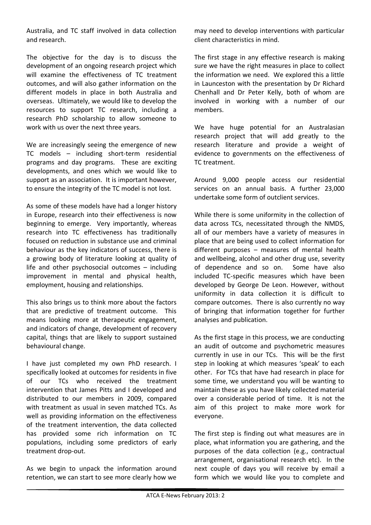Australia, and TC staff involved in data collection and research.

The objective for the day is to discuss the development of an ongoing research project which will examine the effectiveness of TC treatment outcomes, and will also gather information on the different models in place in both Australia and overseas. Ultimately, we would like to develop the resources to support TC research, including a research PhD scholarship to allow someone to work with us over the next three years.

We are increasingly seeing the emergence of new TC models – including short-term residential programs and day programs. These are exciting developments, and ones which we would like to support as an association. It is important however, to ensure the integrity of the TC model is not lost.

As some of these models have had a longer history in Europe, research into their effectiveness is now beginning to emerge. Very importantly, whereas research into TC effectiveness has traditionally focused on reduction in substance use and criminal behaviour as the key indicators of success, there is a growing body of literature looking at quality of life and other psychosocial outcomes – including improvement in mental and physical health, employment, housing and relationships.

This also brings us to think more about the factors that are predictive of treatment outcome. This means looking more at therapeutic engagement, and indicators of change, development of recovery capital, things that are likely to support sustained behavioural change.

I have just completed my own PhD research. I specifically looked at outcomes for residents in five of our TCs who received the treatment intervention that James Pitts and I developed and distributed to our members in 2009, compared with treatment as usual in seven matched TCs. As well as providing information on the effectiveness of the treatment intervention, the data collected has provided some rich information on TC populations, including some predictors of early treatment drop-out.

As we begin to unpack the information around retention, we can start to see more clearly how we may need to develop interventions with particular client characteristics in mind.

The first stage in any effective research is making sure we have the right measures in place to collect the information we need. We explored this a little in Launceston with the presentation by Dr Richard Chenhall and Dr Peter Kelly, both of whom are involved in working with a number of our members.

We have huge potential for an Australasian research project that will add greatly to the research literature and provide a weight of evidence to governments on the effectiveness of TC treatment.

Around 9,000 people access our residential services on an annual basis. A further 23,000 undertake some form of outclient services.

While there is some uniformity in the collection of data across TCs, necessitated through the NMDS, all of our members have a variety of measures in place that are being used to collect information for different purposes – measures of mental health and wellbeing, alcohol and other drug use, severity of dependence and so on. Some have also included TC-specific measures which have been developed by George De Leon. However, without uniformity in data collection it is difficult to compare outcomes. There is also currently no way of bringing that information together for further analyses and publication.

As the first stage in this process, we are conducting an audit of outcome and psychometric measures currently in use in our TCs. This will be the first step in looking at which measures 'speak' to each other. For TCs that have had research in place for some time, we understand you will be wanting to maintain these as you have likely collected material over a considerable period of time. It is not the aim of this project to make more work for everyone.

The first step is finding out what measures are in place, what information you are gathering, and the purposes of the data collection (e.g., contractual arrangement, organisational research etc). In the next couple of days you will receive by email a form which we would like you to complete and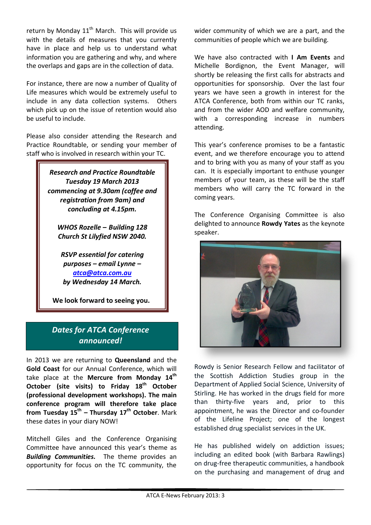return by Monday  $11<sup>th</sup>$  March. This will provide us with the details of measures that you currently have in place and help us to understand what information you are gathering and why, and where the overlaps and gaps are in the collection of data.

For instance, there are now a number of Quality of Life measures which would be extremely useful to include in any data collection systems. Others which pick up on the issue of retention would also be useful to include.

Please also consider attending the Research and Practice Roundtable, or sending your member of staff who is involved in research within your TC.

> *Research and Practice Roundtable Tuesday 19 March 2013 commencing at 9.30am (coffee and registration from 9am) and concluding at 4.15pm.*

*WHOS Rozelle – Building 128 Church St Lilyfied NSW 2040.*

*RSVP essential for catering purposes – email Lynne – atca@atca.com.au by Wednesday 14 March.*

**We look forward to seeing you.**

# *Dates for ATCA Conference announced!*

I

In 2013 we are returning to **Queensland** and the **Gold Coast** for our Annual Conference, which will take place at the **Mercure from Monday 14th October** (site visits) to Friday 18<sup>th</sup> October **(professional development workshops). The main conference program will therefore take place from Tuesday 15th – Thursday 17th October**. Mark these dates in your diary NOW!

Mitchell Giles and the Conference Organising Committee have announced this year's theme as *Building Communities.* The theme provides an opportunity for focus on the TC community, the wider community of which we are a part, and the communities of people which we are building.

We have also contracted with **I Am Events** and Michelle Bordignon, the Event Manager, will shortly be releasing the first calls for abstracts and opportunities for sponsorship. Over the last four years we have seen a growth in interest for the ATCA Conference, both from within our TC ranks, and from the wider AOD and welfare community, with a corresponding increase in numbers attending.

This year's conference promises to be a fantastic event, and we therefore encourage you to attend and to bring with you as many of your staff as you can. It is especially important to enthuse younger members of your team, as these will be the staff members who will carry the TC forward in the coming years.

The Conference Organising Committee is also delighted to announce **Rowdy Yates** as the keynote speaker.



Rowdy is Senior Research Fellow and facilitator of the Scottish Addiction Studies group in the Department of Applied Social Science, University of Stirling. He has worked in the drugs field for more than thirty-five years and, prior to this appointment, he was the Director and co-founder of the Lifeline Project; one of the longest established drug specialist services in the UK.

He has published widely on addiction issues; including an edited book (with Barbara Rawlings) on drug-free therapeutic communities, a handbook on the purchasing and management of drug and